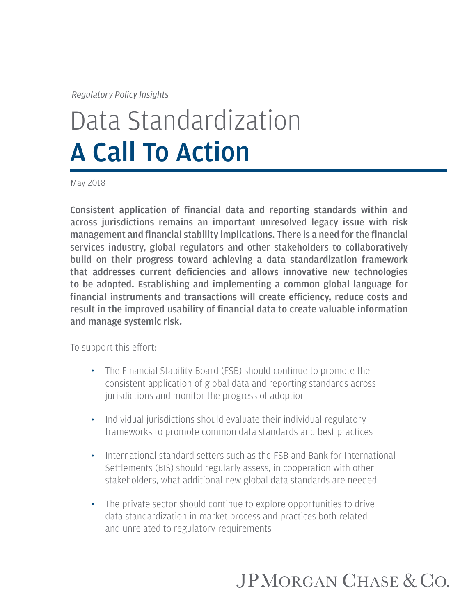*Regulatory Policy Insights*

# Data Standardization A Call To Action

May 2018

Consistent application of financial data and reporting standards within and across jurisdictions remains an important unresolved legacy issue with risk management and financial stability implications. There is a need for the financial services industry, global regulators and other stakeholders to collaboratively build on their progress toward achieving a data standardization framework that addresses current deficiencies and allows innovative new technologies to be adopted. Establishing and implementing a common global language for financial instruments and transactions will create efficiency, reduce costs and result in the improved usability of financial data to create valuable information and manage systemic risk.

To support this effort:

- The Financial Stability Board (FSB) should continue to promote the consistent application of global data and reporting standards across jurisdictions and monitor the progress of adoption
- Individual jurisdictions should evaluate their individual regulatory frameworks to promote common data standards and best practices
- International standard setters such as the FSB and Bank for International Settlements (BIS) should regularly assess, in cooperation with other stakeholders, what additional new global data standards are needed
- The private sector should continue to explore opportunities to drive data standardization in market process and practices both related and unrelated to regulatory requirements

# JPMORGAN CHASE & CO.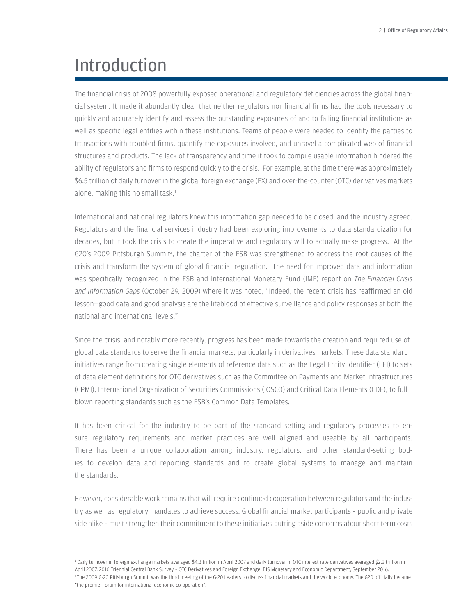### Introduction

The financial crisis of 2008 powerfully exposed operational and regulatory deficiencies across the global financial system. It made it abundantly clear that neither regulators nor financial firms had the tools necessary to quickly and accurately identify and assess the outstanding exposures of and to failing financial institutions as well as specific legal entities within these institutions. Teams of people were needed to identify the parties to transactions with troubled firms, quantify the exposures involved, and unravel a complicated web of financial structures and products. The lack of transparency and time it took to compile usable information hindered the ability of regulators and firms to respond quickly to the crisis. For example, at the time there was approximately \$6.5 trillion of daily turnover in the global foreign exchange (FX) and over-the-counter (OTC) derivatives markets alone, making this no small task.<sup>1</sup>

International and national regulators knew this information gap needed to be closed, and the industry agreed. Regulators and the financial services industry had been exploring improvements to data standardization for decades, but it took the crisis to create the imperative and regulatory will to actually make progress. At the G20's 2009 Pittsburgh Summit<sup>2</sup>, the charter of the FSB was strengthened to address the root causes of the crisis and transform the system of global financial regulation. The need for improved data and information was specifically recognized in the FSB and International Monetary Fund (IMF) report on *The Financial Crisis and Information Gaps* (October 29, 2009) where it was noted, "Indeed, the recent crisis has reaffirmed an old lesson—good data and good analysis are the lifeblood of effective surveillance and policy responses at both the national and international levels."

Since the crisis, and notably more recently, progress has been made towards the creation and required use of global data standards to serve the financial markets, particularly in derivatives markets. These data standard initiatives range from creating single elements of reference data such as the Legal Entity Identifier (LEI) to sets of data element definitions for OTC derivatives such as the Committee on Payments and Market Infrastructures (CPMI), International Organization of Securities Commissions (IOSCO) and Critical Data Elements (CDE), to full blown reporting standards such as the FSB's Common Data Templates.

It has been critical for the industry to be part of the standard setting and regulatory processes to ensure regulatory requirements and market practices are well aligned and useable by all participants. There has been a unique collaboration among industry, regulators, and other standard-setting bodies to develop data and reporting standards and to create global systems to manage and maintain the standards.

However, considerable work remains that will require continued cooperation between regulators and the industry as well as regulatory mandates to achieve success. Global financial market participants – public and private side alike – must strengthen their commitment to these initiatives putting aside concerns about short term costs

1 Daily turnover in foreign exchange markets averaged \$4.3 trillion in April 2007 and daily turnover in OTC interest rate derivatives averaged \$2.2 trillion in April 2007. 2016 Triennial Central Bank Survey – OTC Derivatives and Foreign Exchange; BIS Monetary and Economic Department, September 2016. 2 The 2009 G-20 Pittsburgh Summit was the third meeting of the G-20 Leaders to discuss financial markets and the world economy. The G20 officially became "the premier forum for international economic co-operation".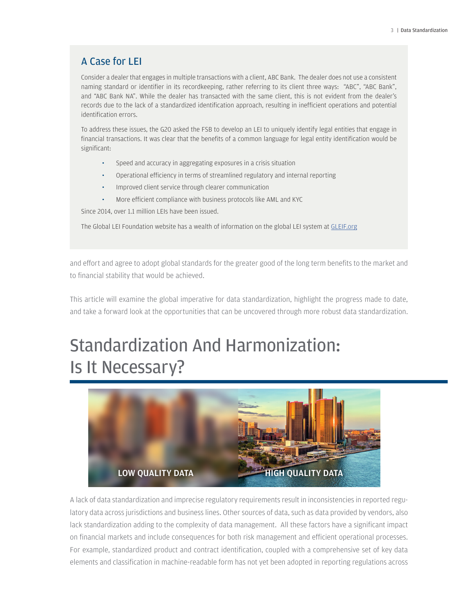### A Case for LEI

Consider a dealer that engages in multiple transactions with a client, ABC Bank. The dealer does not use a consistent naming standard or identifier in its recordkeeping, rather referring to its client three ways: "ABC", "ABC Bank", and "ABC Bank NA". While the dealer has transacted with the same client, this is not evident from the dealer's records due to the lack of a standardized identification approach, resulting in inefficient operations and potential identification errors.

To address these issues, the G20 asked the FSB to develop an LEI to uniquely identify legal entities that engage in financial transactions. It was clear that the benefits of a common language for legal entity identification would be significant:

- Speed and accuracy in aggregating exposures in a crisis situation
- Operational efficiency in terms of streamlined regulatory and internal reporting
- Improved client service through clearer communication
- More efficient compliance with business protocols like AML and KYC

Since 2014, over 1.1 million LEIs have been issued.

The Global LEI Foundation website has a wealth of information on the global LEI system at GLEIF.org

and effort and agree to adopt global standards for the greater good of the long term benefits to the market and to financial stability that would be achieved.

This article will examine the global imperative for data standardization, highlight the progress made to date, and take a forward look at the opportunities that can be uncovered through more robust data standardization.

## Standardization And Harmonization: Is It Necessary?



A lack of data standardization and imprecise regulatory requirements result in inconsistencies in reported regulatory data across jurisdictions and business lines. Other sources of data, such as data provided by vendors, also lack standardization adding to the complexity of data management. All these factors have a significant impact on financial markets and include consequences for both risk management and efficient operational processes. For example, standardized product and contract identification, coupled with a comprehensive set of key data elements and classification in machine-readable form has not yet been adopted in reporting regulations across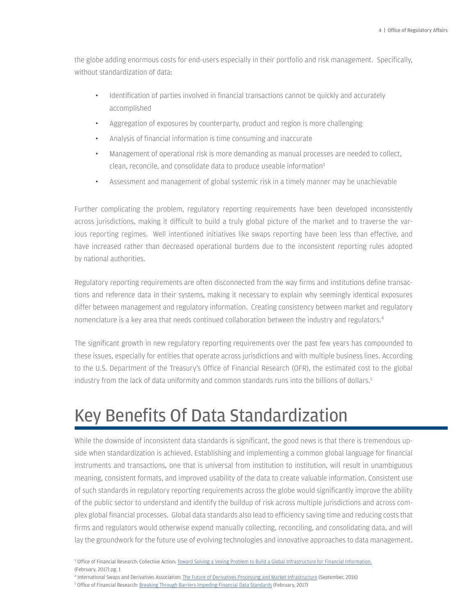the globe adding enormous costs for end-users especially in their portfolio and risk management. Specifically, without standardization of data:

- Identification of parties involved in financial transactions cannot be quickly and accurately accomplished
- Aggregation of exposures by counterparty, product and region is more challenging
- Analysis of financial information is time consuming and inaccurate
- Management of operational risk is more demanding as manual processes are needed to collect, clean, reconcile, and consolidate data to produce useable information3
- Assessment and management of global systemic risk in a timely manner may be unachievable

Further complicating the problem, regulatory reporting requirements have been developed inconsistently across jurisdictions, making it difficult to build a truly global picture of the market and to traverse the various reporting regimes. Well intentioned initiatives like swaps reporting have been less than effective, and have increased rather than decreased operational burdens due to the inconsistent reporting rules adopted by national authorities.

Regulatory reporting requirements are often disconnected from the way firms and institutions define transactions and reference data in their systems, making it necessary to explain why seemingly identical exposures differ between management and regulatory information. Creating consistency between market and regulatory nomenclature is a key area that needs continued collaboration between the industry and regulators.4

The significant growth in new regulatory reporting requirements over the past few years has compounded to these issues, especially for entities that operate across jurisdictions and with multiple business lines. According to the U.S. Department of the Treasury's Office of Financial Research (OFR), the estimated cost to the global industry from the lack of data uniformity and common standards runs into the billions of dollars.5

### Key Benefits Of Data Standardization

While the downside of inconsistent data standards is significant, the good news is that there is tremendous upside when standardization is achieved. Establishing and implementing a common global language for financial instruments and transactions, one that is universal from institution to institution, will result in unambiguous meaning, consistent formats, and improved usability of the data to create valuable information. Consistent use of such standards in regulatory reporting requirements across the globe would significantly improve the ability of the public sector to understand and identify the buildup of risk across multiple jurisdictions and across complex global financial processes. Global data standards also lead to efficiency saving time and reducing costs that firms and regulators would otherwise expend manually collecting, reconciling, and consolidating data, and will lay the groundwork for the future use of evolving technologies and innovative approaches to data management.

<sup>&</sup>lt;sup>3</sup> Office of Financial Research: Collective Action: Toward Solving a Vexing Problem to Build a Global Infrastructure for Financial Information. (February, 2017) pg. 1

<sup>4</sup> International Swaps and Derivatives Association: The Future of Derivatives Processing and Market Infrastructure (September, 2016)

<sup>&</sup>lt;sup>5</sup> Office of Financial Research: Breaking Through Barriers Impeding Financial Data Standards (February, 2017)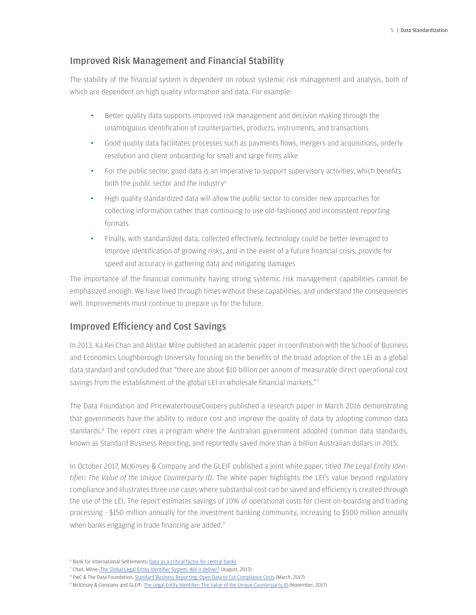#### Improved Risk Management and Financial Stability

The stability of the financial system is dependent on robust systemic risk management and analysis, both of which are dependent on high quality information and data. For example:

- Better quality data supports improved risk management and decision making through the unambiguous identification of counterparties, products, instruments, and transactions
- Good quality data facilitates processes such as payments flows, mergers and acquisitions, orderly resolution and client onboarding for small and large firms alike
- For the public sector, good data is an imperative to support supervisory activities, which benefits both the public sector and the industry<sup>6</sup>
- High quality standardized data will allow the public sector to consider new approaches for collecting information rather than continuing to use old-fashioned and inconsistent reporting formats
- Finally, with standardized data, collected effectively, technology could be better leveraged to improve identification of growing risks, and in the event of a future financial crisis, provide for speed and accuracy in gathering data and mitigating damages

The importance of the financial community having strong systemic risk management capabilities cannot be emphasized enough. We have lived through times without these capabilities, and understand the consequences well. Improvements must continue to prepare us for the future.

#### Improved Efficiency and Cost Savings

In 2013, Ka Kei Chan and Alistair Milne published an academic paper in coordination with the School of Business and Economics Loughborough University focusing on the benefits of the broad adoption of the LEI as a global data standard and concluded that "there are about \$10 billion per annum of measurable direct operational cost savings from the establishment of the global LEI in wholesale financial markets."7

The Data Foundation and PricewaterhouseCoopers published a research paper in March 2016 demonstrating that governments have the ability to reduce cost and improve the quality of data by adopting common data standards.<sup>8</sup> The report cites a program where the Australian government adopted common data standards, known as Standard Business Reporting, and reportedly saved more than a billion Australian dollars in 2015.

In October 2017, McKinsey & Company and the GLEIF published a joint white paper, titled *The Legal Entity Identifier: The Value of the Unique Counterparty ID*. The white paper highlights the LEI's value beyond regulatory compliance and illustrates three use cases where substantial cost can be saved and efficiency is created through the use of the LEI. The report estimates savings of 10% of operational costs for client on-boarding and trading processing - \$150 million annually for the investment banking community, increasing to \$500 million annually when banks engaging in trade financing are added.<sup>9</sup>

<sup>8</sup> PwC & The Data Foundation: <u>Standard Business Reporting: Open Data to Cut Compliance Costs</u> (March, 2017)

<sup>&</sup>lt;sup>6</sup> Bank for International Settlements: Data as a critical factor for central banks

<sup>&</sup>lt;sup>7</sup> Chan, Milne: The Global Legal Entity Identifier System: Will it deliver? (August, 2013)

<sup>9</sup> McKinsey & Company and GLEIF: The Legal Entity Identifier: The Value of the Unique Counterparty ID (November, 2017)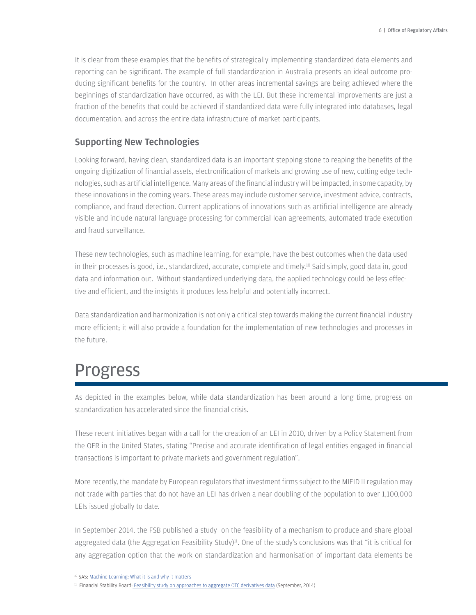It is clear from these examples that the benefits of strategically implementing standardized data elements and reporting can be significant. The example of full standardization in Australia presents an ideal outcome producing significant benefits for the country. In other areas incremental savings are being achieved where the beginnings of standardization have occurred, as with the LEI. But these incremental improvements are just a fraction of the benefits that could be achieved if standardized data were fully integrated into databases, legal documentation, and across the entire data infrastructure of market participants.

#### Supporting New Technologies

Looking forward, having clean, standardized data is an important stepping stone to reaping the benefits of the ongoing digitization of financial assets, electronification of markets and growing use of new, cutting edge technologies, such as artificial intelligence. Many areas of the financial industry will be impacted, in some capacity, by these innovations in the coming years. These areas may include customer service, investment advice, contracts, compliance, and fraud detection. Current applications of innovations such as artificial intelligence are already visible and include natural language processing for commercial loan agreements, automated trade execution and fraud surveillance.

These new technologies, such as machine learning, for example, have the best outcomes when the data used in their processes is good, i.e., standardized, accurate, complete and timely.10 Said simply, good data in, good data and information out. Without standardized underlying data, the applied technology could be less effective and efficient, and the insights it produces less helpful and potentially incorrect.

Data standardization and harmonization is not only a critical step towards making the current financial industry more efficient; it will also provide a foundation for the implementation of new technologies and processes in the future.

### Progress

As depicted in the examples below, while data standardization has been around a long time, progress on standardization has accelerated since the financial crisis.

These recent initiatives began with a call for the creation of an LEI in 2010, driven by a Policy Statement from the OFR in the United States, stating "Precise and accurate identification of legal entities engaged in financial transactions is important to private markets and government regulation".

More recently, the mandate by European regulators that investment firms subject to the MIFID II regulation may not trade with parties that do not have an LEI has driven a near doubling of the population to over 1,100,000 LEIs issued globally to date.

In September 2014, the FSB published a study on the feasibility of a mechanism to produce and share global aggregated data (the Aggregation Feasibility Study)<sup>11</sup>. One of the study's conclusions was that "it is critical for any aggregation option that the work on standardization and harmonisation of important data elements be

<sup>10</sup> SAS: Machine Learning: What it is and why it matters

<sup>11</sup> Financial Stability Board: Feasibility study on approaches to aggregate OTC derivatives data (September, 2014)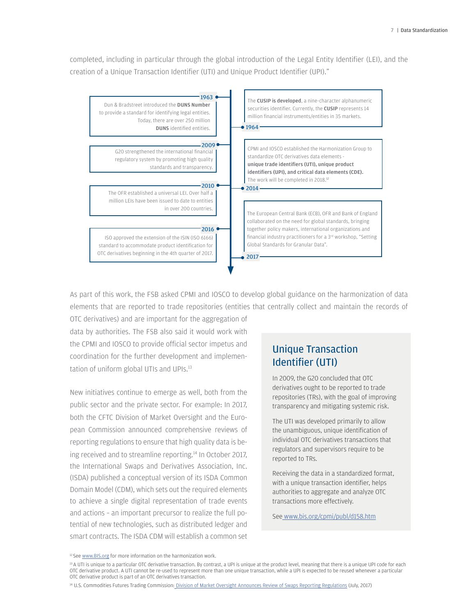completed, including in particular through the global introduction of the Legal Entity Identifier (LEI), and the creation of a Unique Transaction Identifier (UTI) and Unique Product Identifier (UPI)."



As part of this work, the FSB asked CPMI and IOSCO to develop global guidance on the harmonization of data elements that are reported to trade repositories (entities that centrally collect and maintain the records of

OTC derivatives) and are important for the aggregation of data by authorities. The FSB also said it would work with the CPMI and IOSCO to provide official sector impetus and coordination for the further development and implementation of uniform global UTIs and UPIs.<sup>13</sup>

New initiatives continue to emerge as well, both from the public sector and the private sector. For example: In 2017, both the CFTC Division of Market Oversight and the European Commission announced comprehensive reviews of reporting regulations to ensure that high quality data is being received and to streamline reporting.<sup>14</sup> In October 2017, the International Swaps and Derivatives Association, Inc. (ISDA) published a conceptual version of its ISDA Common Domain Model (CDM), which sets out the required elements to achieve a single digital representation of trade events and actions – an important precursor to realize the full potential of new technologies, such as distributed ledger and smart contracts. The ISDA CDM will establish a common set

### Unique Transaction Identifier (UTI)

In 2009, the G20 concluded that OTC derivatives ought to be reported to trade repositories (TRs), with the goal of improving transparency and mitigating systemic risk.

The UTI was developed primarily to allow the unambiguous, unique identification of individual OTC derivatives transactions that regulators and supervisors require to be reported to TRs.

Receiving the data in a standardized format, with a unique transaction identifier, helps authorities to aggregate and analyze OTC transactions more effectively.

See www.bis.org/cpmi/publ/d158.htm

<sup>&</sup>lt;sup>12</sup> See www.BIS.org for more information on the harmonization work.

<sup>13</sup> A UTI is unique to a particular OTC derivative transaction. By contrast, a UPI is unique at the product level, meaning that there is a unique UPI code for each OTC derivative product. A UTI cannot be re-used to represent more than one unique transaction, while a UPI is expected to be reused whenever a particular OTC derivative product is part of an OTC derivatives transaction.

<sup>14</sup> U.S. Commodities Futures Trading Commission: Division of Market Oversight Announces Review of Swaps Reporting Regulations (July, 2017)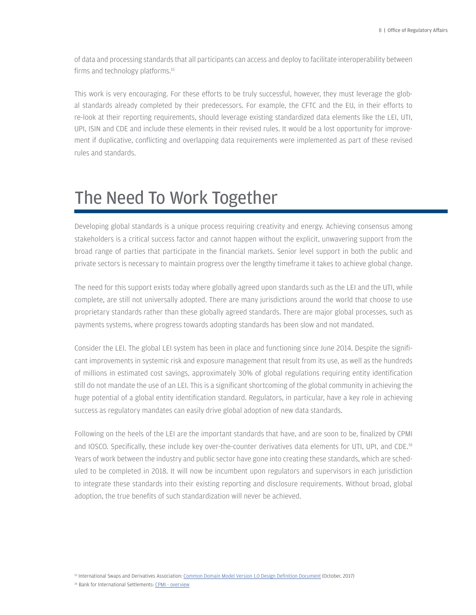of data and processing standards that all participants can access and deploy to facilitate interoperability between firms and technology platforms.15

This work is very encouraging. For these efforts to be truly successful, however, they must leverage the global standards already completed by their predecessors. For example, the CFTC and the EU, in their efforts to re-look at their reporting requirements, should leverage existing standardized data elements like the LEI, UTI, UPI, ISIN and CDE and include these elements in their revised rules. It would be a lost opportunity for improvement if duplicative, conflicting and overlapping data requirements were implemented as part of these revised rules and standards.

### The Need To Work Together

Developing global standards is a unique process requiring creativity and energy. Achieving consensus among stakeholders is a critical success factor and cannot happen without the explicit, unwavering support from the broad range of parties that participate in the financial markets. Senior level support in both the public and private sectors is necessary to maintain progress over the lengthy timeframe it takes to achieve global change.

The need for this support exists today where globally agreed upon standards such as the LEI and the UTI, while complete, are still not universally adopted. There are many jurisdictions around the world that choose to use proprietary standards rather than these globally agreed standards. There are major global processes, such as payments systems, where progress towards adopting standards has been slow and not mandated.

Consider the LEI. The global LEI system has been in place and functioning since June 2014. Despite the significant improvements in systemic risk and exposure management that result from its use, as well as the hundreds of millions in estimated cost savings, approximately 30% of global regulations requiring entity identification still do not mandate the use of an LEI. This is a significant shortcoming of the global community in achieving the huge potential of a global entity identification standard. Regulators, in particular, have a key role in achieving success as regulatory mandates can easily drive global adoption of new data standards.

Following on the heels of the LEI are the important standards that have, and are soon to be, finalized by CPMI and IOSCO. Specifically, these include key over-the-counter derivatives data elements for UTI, UPI, and CDE.16 Years of work between the industry and public sector have gone into creating these standards, which are scheduled to be completed in 2018. It will now be incumbent upon regulators and supervisors in each jurisdiction to integrate these standards into their existing reporting and disclosure requirements. Without broad, global adoption, the true benefits of such standardization will never be achieved.

<sup>15</sup> International Swaps and Derivatives Association: Common Domain Model Version 1.0 Design Definition Document (October, 2017)

16 Bank for International Settlements: CPMI - overview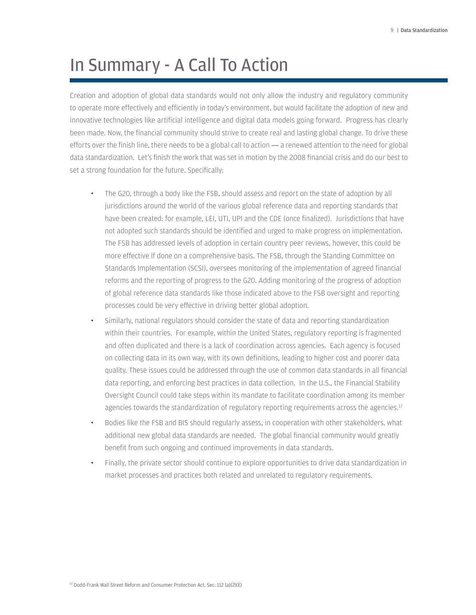### In Summary - A Call To Action

Creation and adoption of global data standards would not only allow the industry and regulatory community to operate more effectively and efficiently in today's environment, but would facilitate the adoption of new and innovative technologies like artificial intelligence and digital data models going forward. Progress has clearly been made. Now, the financial community should strive to create real and lasting global change. To drive these efforts over the finish line, there needs to be a global call to action — a renewed attention to the need for global data standardization. Let's finish the work that was set in motion by the 2008 financial crisis and do our best to set a strong foundation for the future. Specifically:

- The G20, through a body like the FSB, should assess and report on the state of adoption by all jurisdictions around the world of the various global reference data and reporting standards that have been created: for example, LEI, UTI, UPI and the CDE (once finalized). Jurisdictions that have not adopted such standards should be identified and urged to make progress on implementation. The FSB has addressed levels of adoption in certain country peer reviews, however, this could be more effective if done on a comprehensive basis. The FSB, through the Standing Committee on Standards Implementation (SCSI), oversees monitoring of the implementation of agreed financial reforms and the reporting of progress to the G20. Adding monitoring of the progress of adoption of global reference data standards like those indicated above to the FSB oversight and reporting processes could be very effective in driving better global adoption.
- Similarly, national regulators should consider the state of data and reporting standardization within their countries. For example, within the United States, regulatory reporting is fragmented and often duplicated and there is a lack of coordination across agencies. Each agency is focused on collecting data in its own way, with its own definitions, leading to higher cost and poorer data quality. These issues could be addressed through the use of common data standards in all financial data reporting, and enforcing best practices in data collection. In the U.S., the Financial Stability Oversight Council could take steps within its mandate to facilitate coordination among its member agencies towards the standardization of regulatory reporting requirements across the agencies.<sup>17</sup>
- Bodies like the FSB and BIS should regularly assess, in cooperation with other stakeholders, what additional new global data standards are needed. The global financial community would greatly benefit from such ongoing and continued improvements in data standards.
- Finally, the private sector should continue to explore opportunities to drive data standardization in market processes and practices both related and unrelated to regulatory requirements.